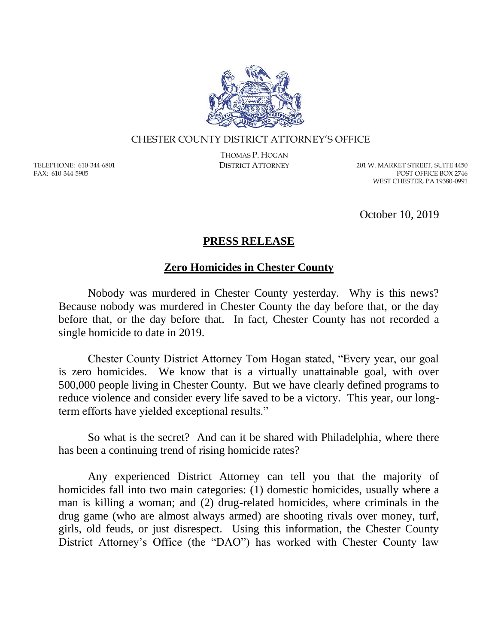

## CHESTER COUNTY DISTRICT ATTORNEY'S OFFICE

TELEPHONE: 610-344-6801 FAX: 610-344-5905

THOMAS P. HOGAN

DISTRICT ATTORNEY 201 W. MARKET STREET, SUITE 4450 POST OFFICE BOX 2746 WEST CHESTER, PA 19380-0991

October 10, 2019

## **PRESS RELEASE**

## **Zero Homicides in Chester County**

Nobody was murdered in Chester County yesterday. Why is this news? Because nobody was murdered in Chester County the day before that, or the day before that, or the day before that. In fact, Chester County has not recorded a single homicide to date in 2019.

Chester County District Attorney Tom Hogan stated, "Every year, our goal is zero homicides. We know that is a virtually unattainable goal, with over 500,000 people living in Chester County. But we have clearly defined programs to reduce violence and consider every life saved to be a victory. This year, our longterm efforts have yielded exceptional results."

So what is the secret? And can it be shared with Philadelphia, where there has been a continuing trend of rising homicide rates?

Any experienced District Attorney can tell you that the majority of homicides fall into two main categories: (1) domestic homicides, usually where a man is killing a woman; and (2) drug-related homicides, where criminals in the drug game (who are almost always armed) are shooting rivals over money, turf, girls, old feuds, or just disrespect. Using this information, the Chester County District Attorney's Office (the "DAO") has worked with Chester County law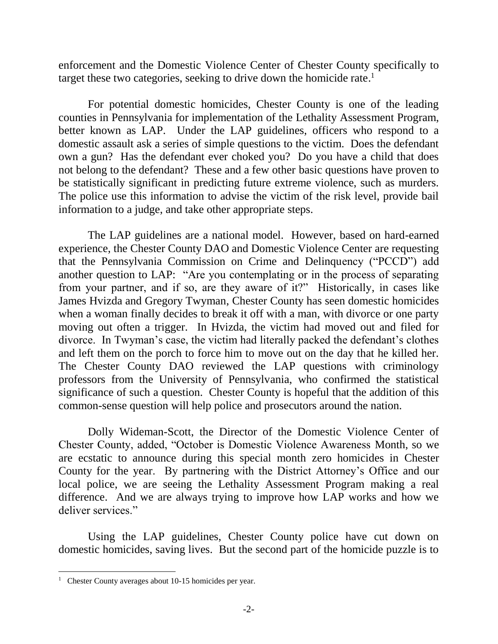enforcement and the Domestic Violence Center of Chester County specifically to target these two categories, seeking to drive down the homicide rate.<sup>1</sup>

For potential domestic homicides, Chester County is one of the leading counties in Pennsylvania for implementation of the Lethality Assessment Program, better known as LAP. Under the LAP guidelines, officers who respond to a domestic assault ask a series of simple questions to the victim. Does the defendant own a gun? Has the defendant ever choked you? Do you have a child that does not belong to the defendant? These and a few other basic questions have proven to be statistically significant in predicting future extreme violence, such as murders. The police use this information to advise the victim of the risk level, provide bail information to a judge, and take other appropriate steps.

The LAP guidelines are a national model. However, based on hard-earned experience, the Chester County DAO and Domestic Violence Center are requesting that the Pennsylvania Commission on Crime and Delinquency ("PCCD") add another question to LAP: "Are you contemplating or in the process of separating from your partner, and if so, are they aware of it?" Historically, in cases like James Hvizda and Gregory Twyman, Chester County has seen domestic homicides when a woman finally decides to break it off with a man, with divorce or one party moving out often a trigger. In Hvizda, the victim had moved out and filed for divorce. In Twyman's case, the victim had literally packed the defendant's clothes and left them on the porch to force him to move out on the day that he killed her. The Chester County DAO reviewed the LAP questions with criminology professors from the University of Pennsylvania, who confirmed the statistical significance of such a question. Chester County is hopeful that the addition of this common-sense question will help police and prosecutors around the nation.

Dolly Wideman-Scott, the Director of the Domestic Violence Center of Chester County, added, "October is Domestic Violence Awareness Month, so we are ecstatic to announce during this special month zero homicides in Chester County for the year. By partnering with the District Attorney's Office and our local police, we are seeing the Lethality Assessment Program making a real difference. And we are always trying to improve how LAP works and how we deliver services."

Using the LAP guidelines, Chester County police have cut down on domestic homicides, saving lives. But the second part of the homicide puzzle is to

 $\overline{a}$ 

<sup>&</sup>lt;sup>1</sup> Chester County averages about 10-15 homicides per year.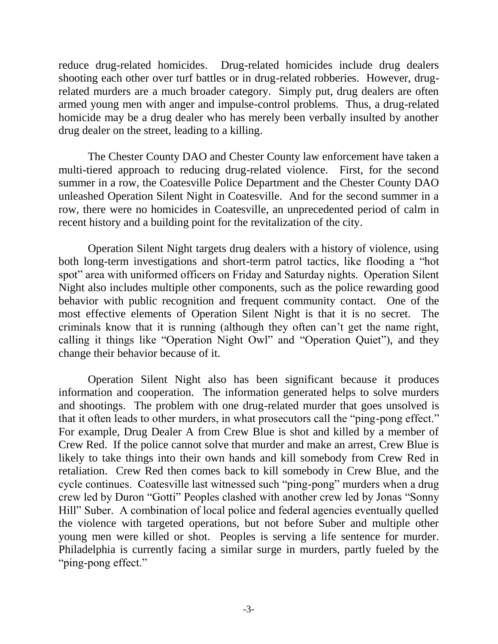reduce drug-related homicides. Drug-related homicides include drug dealers shooting each other over turf battles or in drug-related robberies. However, drugrelated murders are a much broader category. Simply put, drug dealers are often armed young men with anger and impulse-control problems. Thus, a drug-related homicide may be a drug dealer who has merely been verbally insulted by another drug dealer on the street, leading to a killing.

The Chester County DAO and Chester County law enforcement have taken a multi-tiered approach to reducing drug-related violence. First, for the second summer in a row, the Coatesville Police Department and the Chester County DAO unleashed Operation Silent Night in Coatesville. And for the second summer in a row, there were no homicides in Coatesville, an unprecedented period of calm in recent history and a building point for the revitalization of the city.

Operation Silent Night targets drug dealers with a history of violence, using both long-term investigations and short-term patrol tactics, like flooding a "hot spot" area with uniformed officers on Friday and Saturday nights. Operation Silent Night also includes multiple other components, such as the police rewarding good behavior with public recognition and frequent community contact. One of the most effective elements of Operation Silent Night is that it is no secret. The criminals know that it is running (although they often can't get the name right, calling it things like "Operation Night Owl" and "Operation Quiet"), and they change their behavior because of it.

Operation Silent Night also has been significant because it produces information and cooperation. The information generated helps to solve murders and shootings. The problem with one drug-related murder that goes unsolved is that it often leads to other murders, in what prosecutors call the "ping-pong effect." For example, Drug Dealer A from Crew Blue is shot and killed by a member of Crew Red. If the police cannot solve that murder and make an arrest, Crew Blue is likely to take things into their own hands and kill somebody from Crew Red in retaliation. Crew Red then comes back to kill somebody in Crew Blue, and the cycle continues. Coatesville last witnessed such "ping-pong" murders when a drug crew led by Duron "Gotti" Peoples clashed with another crew led by Jonas "Sonny Hill" Suber. A combination of local police and federal agencies eventually quelled the violence with targeted operations, but not before Suber and multiple other young men were killed or shot. Peoples is serving a life sentence for murder. Philadelphia is currently facing a similar surge in murders, partly fueled by the "ping-pong effect."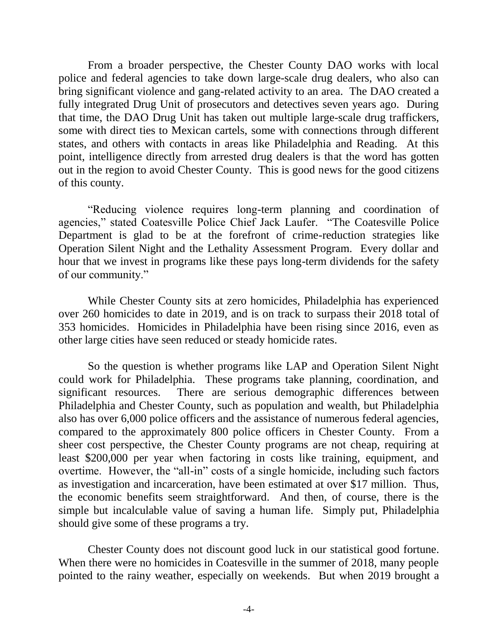From a broader perspective, the Chester County DAO works with local police and federal agencies to take down large-scale drug dealers, who also can bring significant violence and gang-related activity to an area. The DAO created a fully integrated Drug Unit of prosecutors and detectives seven years ago. During that time, the DAO Drug Unit has taken out multiple large-scale drug traffickers, some with direct ties to Mexican cartels, some with connections through different states, and others with contacts in areas like Philadelphia and Reading. At this point, intelligence directly from arrested drug dealers is that the word has gotten out in the region to avoid Chester County. This is good news for the good citizens of this county.

"Reducing violence requires long-term planning and coordination of agencies," stated Coatesville Police Chief Jack Laufer. "The Coatesville Police Department is glad to be at the forefront of crime-reduction strategies like Operation Silent Night and the Lethality Assessment Program. Every dollar and hour that we invest in programs like these pays long-term dividends for the safety of our community."

While Chester County sits at zero homicides, Philadelphia has experienced over 260 homicides to date in 2019, and is on track to surpass their 2018 total of 353 homicides. Homicides in Philadelphia have been rising since 2016, even as other large cities have seen reduced or steady homicide rates.

So the question is whether programs like LAP and Operation Silent Night could work for Philadelphia. These programs take planning, coordination, and significant resources. There are serious demographic differences between Philadelphia and Chester County, such as population and wealth, but Philadelphia also has over 6,000 police officers and the assistance of numerous federal agencies, compared to the approximately 800 police officers in Chester County. From a sheer cost perspective, the Chester County programs are not cheap, requiring at least \$200,000 per year when factoring in costs like training, equipment, and overtime. However, the "all-in" costs of a single homicide, including such factors as investigation and incarceration, have been estimated at over \$17 million. Thus, the economic benefits seem straightforward. And then, of course, there is the simple but incalculable value of saving a human life. Simply put, Philadelphia should give some of these programs a try.

Chester County does not discount good luck in our statistical good fortune. When there were no homicides in Coatesville in the summer of 2018, many people pointed to the rainy weather, especially on weekends. But when 2019 brought a